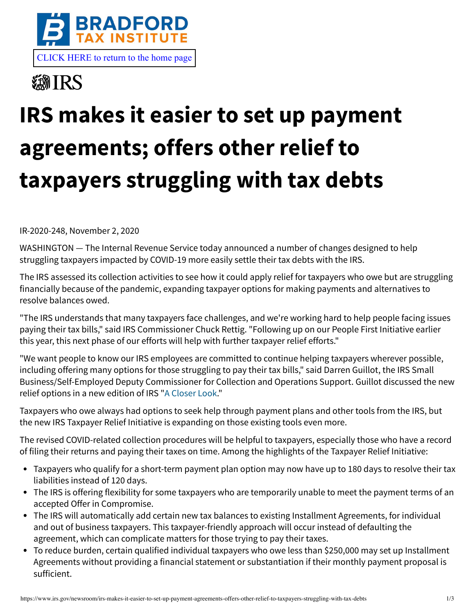

**@IRS** 

## **IRS makes it easier to set up payment agreements; offers other relief to taxpayers struggling with tax debts**

IR-2020-248, November 2, 2020

WASHINGTON — The Internal Revenue Service today announced a number of changes designed to help struggling taxpayers impacted by COVID-19 more easily settle their tax debts with the IRS.

The IRS assessed its collection activities to see how it could apply relief for taxpayers who owe but are struggling financially because of the pandemic, expanding taxpayer options for making payments and alternatives to resolve balances owed.

"The IRS understands that many taxpayers face challenges, and we're working hard to help people facing issues paying their tax bills," said IRS Commissioner Chuck Rettig. "Following up on our People First Initiative earlier this year, this next phase of our efforts will help with further taxpayer relief efforts."

"We want people to know our IRS employees are committed to continue helping taxpayers wherever possible, including offering many options for those struggling to pay their tax bills," said Darren Guillot, the IRS Small Business/Self-Employed Deputy Commissioner for Collection and Operations Support. Guillot discussed the new relief options in a new edition of IRS "[A Closer Look.](https://www.irs.gov/about-irs/irs-offers-new-relief-options-to-help-taxpayers-affected-by-covid-19)"

Taxpayers who owe always had options to seek help through payment plans and other tools from the IRS, but the new IRS Taxpayer Relief Initiative is expanding on those existing tools even more.

The revised COVID-related collection procedures will be helpful to taxpayers, especially those who have a record of filing their returns and paying their taxes on time. Among the highlights of the Taxpayer Relief Initiative:

- Taxpayers who qualify for a short-term payment plan option may now have up to 180 days to resolve their tax liabilities instead of 120 days.
- The IRS is offering flexibility for some taxpayers who are temporarily unable to meet the payment terms of an accepted Offer in Compromise.
- The IRS will automatically add certain new tax balances to existing Installment Agreements, for individual and out of business taxpayers. This taxpayer-friendly approach will occur instead of defaulting the agreement, which can complicate matters for those trying to pay their taxes.
- To reduce burden, certain qualified individual taxpayers who owe less than \$250,000 may set up Installment Agreements without providing a financial statement or substantiation if their monthly payment proposal is sufficient.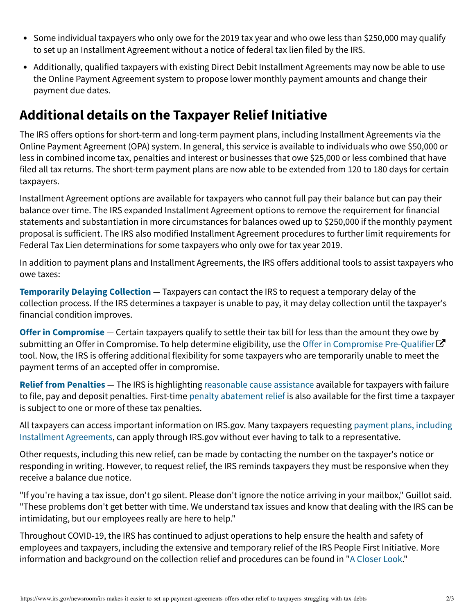- Some individual taxpayers who only owe for the 2019 tax year and who owe less than \$250,000 may qualify to set up an Installment Agreement without a notice of federal tax lien filed by the IRS.
- Additionally, qualified taxpayers with existing Direct Debit Installment Agreements may now be able to use the Online Payment Agreement system to propose lower monthly payment amounts and change their payment due dates.

## **Additional details on the Taxpayer Relief Initiative**

The IRS offers options for short-term and long-term payment plans, including Installment Agreements via the Online Payment Agreement (OPA) system. In general, this service is available to individuals who owe \$50,000 or less in combined income tax, penalties and interest or businesses that owe \$25,000 or less combined that have filed all tax returns. The short-term payment plans are now able to be extended from 120 to 180 days for certain taxpayers.

Installment Agreement options are available for taxpayers who cannot full pay their balance but can pay their balance over time. The IRS expanded Installment Agreement options to remove the requirement for financial statements and substantiation in more circumstances for balances owed up to \$250,000 if the monthly payment proposal is sufficient. The IRS also modified Installment Agreement procedures to further limit requirements for Federal Tax Lien determinations for some taxpayers who only owe for tax year 2019.

In addition to payment plans and Installment Agreements, the IRS offers additional tools to assist taxpayers who owe taxes:

**[Temporarily Delaying Collection](https://www.irs.gov/businesses/small-businesses-self-employed/temporarily-delay-the-collection-process)** — Taxpayers can contact the IRS to request a temporary delay of the collection process. If the IRS determines a taxpayer is unable to pay, it may delay collection until the taxpayer's financial condition improves.

**[Offer in Compromise](https://www.irs.gov/payments/offer-in-compromise)** — Certain taxpayers qualify to settle their tax bill for less than the amount they owe by submitting an Offer in Compromise. To help determine eligibility, use the [Offer in Compromise Pre-Qualifier](https://irs.treasury.gov/oic_pre_qualifier/)  $\bm{\mathcal{C}}$ tool. Now, the IRS is offering additional flexibility for some taxpayers who are temporarily unable to meet the payment terms of an accepted offer in compromise.

**[Relief from Penalties](https://www.irs.gov/businesses/small-businesses-self-employed/penalty-relief-due-to-first-time-penalty-abatement-or-other-administrative-waiver)** — The IRS is highlighting [reasonable cause assistance](https://www.irs.gov/businesses/small-businesses-self-employed/penalty-relief-due-to-reasonable-cause) available for taxpayers with failure to file, pay and deposit penalties. First-time [penalty abatement relief](https://www.irs.gov/businesses/small-businesses-self-employed/penalty-relief-due-to-first-time-penalty-abatement-or-other-administrative-waiver) is also available for the first time a taxpayer is subject to one or more of these tax penalties.

[All taxpayers can access important information on IRS.gov. Many taxpayers requesting payment plans, including](https://www.irs.gov/payments) Installment Agreements, can apply through IRS.gov without ever having to talk to a representative.

Other requests, including this new relief, can be made by contacting the number on the taxpayer's notice or responding in writing. However, to request relief, the IRS reminds taxpayers they must be responsive when they receive a balance due notice.

"If you're having a tax issue, don't go silent. Please don't ignore the notice arriving in your mailbox," Guillot said. "These problems don't get better with time. We understand tax issues and know that dealing with the IRS can be intimidating, but our employees really are here to help."

Throughout COVID-19, the IRS has continued to adjust operations to help ensure the health and safety of employees and taxpayers, including the extensive and temporary relief of the IRS People First Initiative. More information and background on the collection relief and procedures can be found in "[A Closer Look.](https://www.irs.gov/about-irs/irs-offers-new-relief-options-to-help-taxpayers-affected-by-covid-19)"